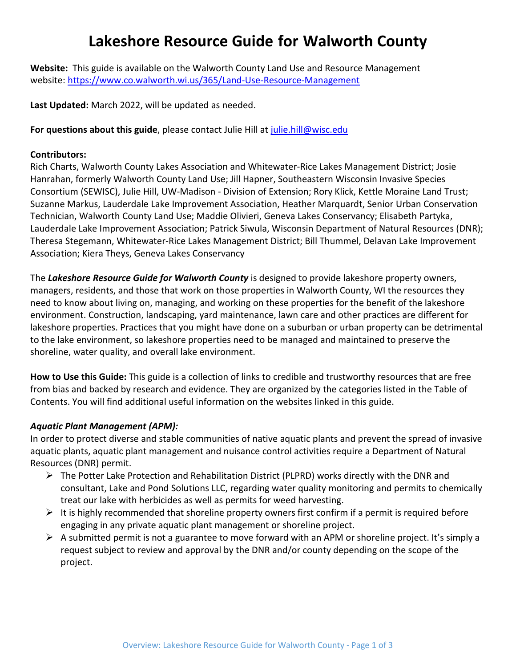# **Lakeshore Resource Guide for Walworth County**

**Website:** This guide is available on the Walworth County Land Use and Resource Management website: [https://www.co.walworth.wi.us/365/Land-Use-Resource-Management](https://www.google.com/url?q=https://www.co.walworth.wi.us/365/Land-Use-Resource-Management&sa=D&source=editors&ust=1651167366148828&usg=AOvVaw1FOgtJSV4UujgdaFuwaVTr)

**Last Updated:** March 2022, will be updated as needed.

**For questions about this guide**, please contact Julie Hill at [julie.hill@wisc.edu](mailto:julie.hill@wisc.edu)

#### **Contributors:**

Rich Charts, Walworth County Lakes Association and Whitewater-Rice Lakes Management District; Josie Hanrahan, formerly Walworth County Land Use; Jill Hapner, Southeastern Wisconsin Invasive Species Consortium (SEWISC), Julie Hill, UW-Madison - Division of Extension; Rory Klick, Kettle Moraine Land Trust; Suzanne Markus, Lauderdale Lake Improvement Association, Heather Marquardt, Senior Urban Conservation Technician, Walworth County Land Use; Maddie Olivieri, Geneva Lakes Conservancy; Elisabeth Partyka, Lauderdale Lake Improvement Association; Patrick Siwula, Wisconsin Department of Natural Resources (DNR); Theresa Stegemann, Whitewater-Rice Lakes Management District; Bill Thummel, Delavan Lake Improvement Association; Kiera Theys, Geneva Lakes Conservancy

The *Lakeshore Resource Guide for Walworth County* is designed to provide lakeshore property owners, managers, residents, and those that work on those properties in Walworth County, WI the resources they need to know about living on, managing, and working on these properties for the benefit of the lakeshore environment. Construction, landscaping, yard maintenance, lawn care and other practices are different for lakeshore properties. Practices that you might have done on a suburban or urban property can be detrimental to the lake environment, so lakeshore properties need to be managed and maintained to preserve the shoreline, water quality, and overall lake environment.

**How to Use this Guide:** This guide is a collection of links to credible and trustworthy resources that are free from bias and backed by research and evidence. They are organized by the categories listed in the Table of Contents. You will find additional useful information on the websites linked in this guide.

#### *Aquatic Plant Management (APM):*

In order to protect diverse and stable communities of native aquatic plants and prevent the spread of invasive aquatic plants, aquatic plant management and nuisance control activities require a Department of Natural Resources (DNR) permit.

- $\triangleright$  The Potter Lake Protection and Rehabilitation District (PLPRD) works directly with the DNR and consultant, Lake and Pond Solutions LLC, regarding water quality monitoring and permits to chemically treat our lake with herbicides as well as permits for weed harvesting.
- $\triangleright$  It is highly recommended that shoreline property owners first confirm if a permit is required before engaging in any private aquatic plant management or shoreline project.
- $\triangleright$  A submitted permit is not a guarantee to move forward with an APM or shoreline project. It's simply a request subject to review and approval by the DNR and/or county depending on the scope of the project.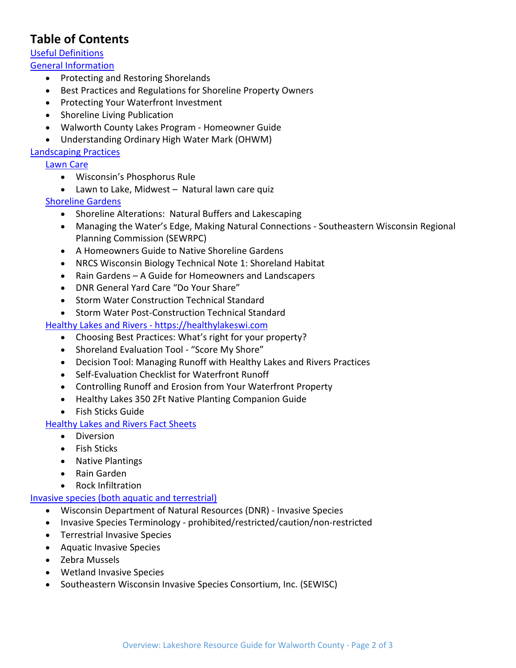## **Table of Contents**

## [Useful Definitions](https://docs.google.com/document/d/e/2PACX-1vRQJi5WEMb1KjBM3gZo0MIbAf3QOwGo0HIMnQxsiQV6yCTcoMDIhOv1wmBxgPgCvE0sNvPBirQotOjy/pub#h.jirlnfkuiqq7)

[General Information](https://docs.google.com/document/d/e/2PACX-1vRQJi5WEMb1KjBM3gZo0MIbAf3QOwGo0HIMnQxsiQV6yCTcoMDIhOv1wmBxgPgCvE0sNvPBirQotOjy/pub#h.w93zvefiph19)

- Protecting and Restoring Shorelands
- Best Practices and Regulations for Shoreline Property Owners
- Protecting Your Waterfront Investment
- Shoreline Living Publication
- Walworth County Lakes Program Homeowner Guide
- Understanding Ordinary High Water Mark (OHWM)

#### [Landscaping Practices](https://docs.google.com/document/d/e/2PACX-1vRQJi5WEMb1KjBM3gZo0MIbAf3QOwGo0HIMnQxsiQV6yCTcoMDIhOv1wmBxgPgCvE0sNvPBirQotOjy/pub#h.jl5n36jk3l2n)

[Lawn Care](https://docs.google.com/document/d/e/2PACX-1vRQJi5WEMb1KjBM3gZo0MIbAf3QOwGo0HIMnQxsiQV6yCTcoMDIhOv1wmBxgPgCvE0sNvPBirQotOjy/pub#h.vpu2eqya4lzj)

- Wisconsin's Phosphorus Rule
- Lawn to Lake, Midwest *–* Natural lawn care quiz

#### [Shoreline Gardens](https://docs.google.com/document/d/e/2PACX-1vRQJi5WEMb1KjBM3gZo0MIbAf3QOwGo0HIMnQxsiQV6yCTcoMDIhOv1wmBxgPgCvE0sNvPBirQotOjy/pub#h.eg8nuuh3btgv)

- Shoreline Alterations: Natural Buffers and Lakescaping
- Managing the Water's Edge, Making Natural Connections Southeastern Wisconsin Regional Planning Commission (SEWRPC)
- A Homeowners Guide to Native Shoreline Gardens
- NRCS Wisconsin Biology Technical Note 1: Shoreland Habitat
- Rain Gardens A Guide for Homeowners and Landscapers
- DNR General Yard Care "Do Your Share"
- Storm Water Construction Technical Standard
- Storm Water Post-Construction Technical Standard

#### Healthy Lakes and Rivers - [https://healthylakeswi.com](https://docs.google.com/document/d/e/2PACX-1vRQJi5WEMb1KjBM3gZo0MIbAf3QOwGo0HIMnQxsiQV6yCTcoMDIhOv1wmBxgPgCvE0sNvPBirQotOjy/pub#h.xf3hdg37i0bf)

- Choosing Best Practices: What's right for your property?
- Shoreland Evaluation Tool "Score My Shore"
- Decision Tool: Managing Runoff with Healthy Lakes and Rivers Practices
- Self-Evaluation Checklist for Waterfront Runoff
- Controlling Runoff and Erosion from Your Waterfront Property
- Healthy Lakes 350 2Ft Native Planting Companion Guide
- Fish Sticks Guide

### [Healthy Lakes and Rivers Fact Sheets](https://docs.google.com/document/d/e/2PACX-1vRQJi5WEMb1KjBM3gZo0MIbAf3QOwGo0HIMnQxsiQV6yCTcoMDIhOv1wmBxgPgCvE0sNvPBirQotOjy/pub#h.s72umpwmf8d8)

- Diversion
- Fish Sticks
- Native Plantings
- Rain Garden
- Rock Infiltration

#### [Invasive species \(both aquatic and terrestrial\)](https://docs.google.com/document/d/e/2PACX-1vRQJi5WEMb1KjBM3gZo0MIbAf3QOwGo0HIMnQxsiQV6yCTcoMDIhOv1wmBxgPgCvE0sNvPBirQotOjy/pub#h.da2wktdlrp58)

- Wisconsin Department of Natural Resources (DNR) Invasive Species
- Invasive Species Terminology prohibited/restricted/caution/non-restricted
- Terrestrial Invasive Species
- Aquatic Invasive Species
- Zebra Mussels
- Wetland Invasive Species
- Southeastern Wisconsin Invasive Species Consortium, Inc. (SEWISC)